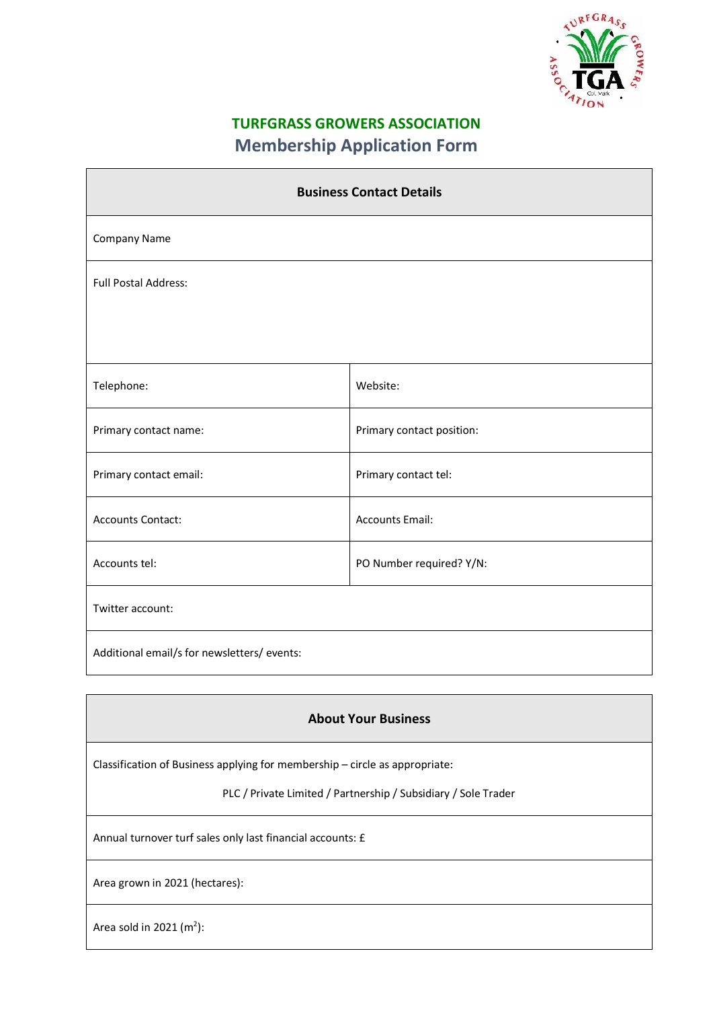

## **TURFGRASS GROWERS ASSOCIATION Membership Application Form**

| <b>Business Contact Details</b>             |                           |  |
|---------------------------------------------|---------------------------|--|
| Company Name                                |                           |  |
| <b>Full Postal Address:</b>                 |                           |  |
|                                             |                           |  |
| Telephone:                                  | Website:                  |  |
| Primary contact name:                       | Primary contact position: |  |
| Primary contact email:                      | Primary contact tel:      |  |
| <b>Accounts Contact:</b>                    | <b>Accounts Email:</b>    |  |
| Accounts tel:                               | PO Number required? Y/N:  |  |
| Twitter account:                            |                           |  |
| Additional email/s for newsletters/ events: |                           |  |

## **About Your Business**

Classification of Business applying for membership – circle as appropriate:

PLC / Private Limited / Partnership / Subsidiary / Sole Trader

Annual turnover turf sales only last financial accounts: £

Area grown in 2021 (hectares):

Area sold in 2021  $(m<sup>2</sup>)$ :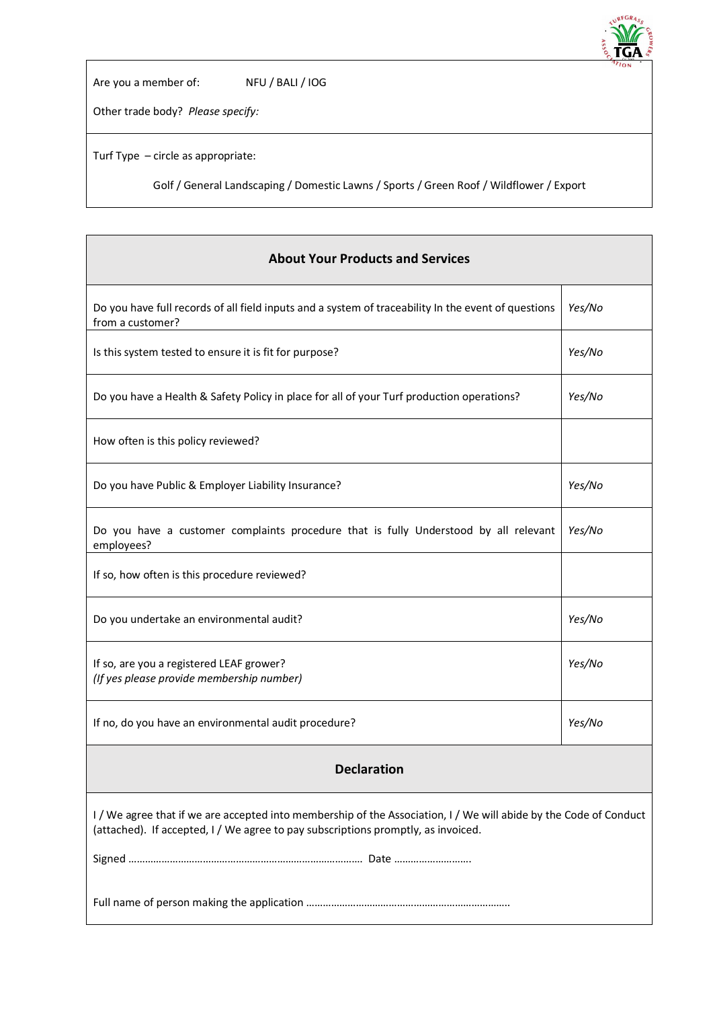

٦

Are you a member of: NFU / BALI / IOG

Other trade body? *Please specify:*

Turf Type – circle as appropriate:

Г

Golf / General Landscaping / Domestic Lawns / Sports / Green Roof / Wildflower / Export

| <b>About Your Products and Services</b>                                                                                                                                                                |        |  |
|--------------------------------------------------------------------------------------------------------------------------------------------------------------------------------------------------------|--------|--|
| Do you have full records of all field inputs and a system of traceability In the event of questions<br>from a customer?                                                                                | Yes/No |  |
| Is this system tested to ensure it is fit for purpose?                                                                                                                                                 | Yes/No |  |
| Do you have a Health & Safety Policy in place for all of your Turf production operations?                                                                                                              | Yes/No |  |
| How often is this policy reviewed?                                                                                                                                                                     |        |  |
| Do you have Public & Employer Liability Insurance?                                                                                                                                                     | Yes/No |  |
| Do you have a customer complaints procedure that is fully Understood by all relevant<br>employees?                                                                                                     | Yes/No |  |
| If so, how often is this procedure reviewed?                                                                                                                                                           |        |  |
| Do you undertake an environmental audit?                                                                                                                                                               | Yes/No |  |
| If so, are you a registered LEAF grower?<br>(If yes please provide membership number)                                                                                                                  | Yes/No |  |
| If no, do you have an environmental audit procedure?                                                                                                                                                   | Yes/No |  |
| <b>Declaration</b>                                                                                                                                                                                     |        |  |
| I / We agree that if we are accepted into membership of the Association, I / We will abide by the Code of Conduct<br>(attached). If accepted, I / We agree to pay subscriptions promptly, as invoiced. |        |  |
|                                                                                                                                                                                                        |        |  |
|                                                                                                                                                                                                        |        |  |